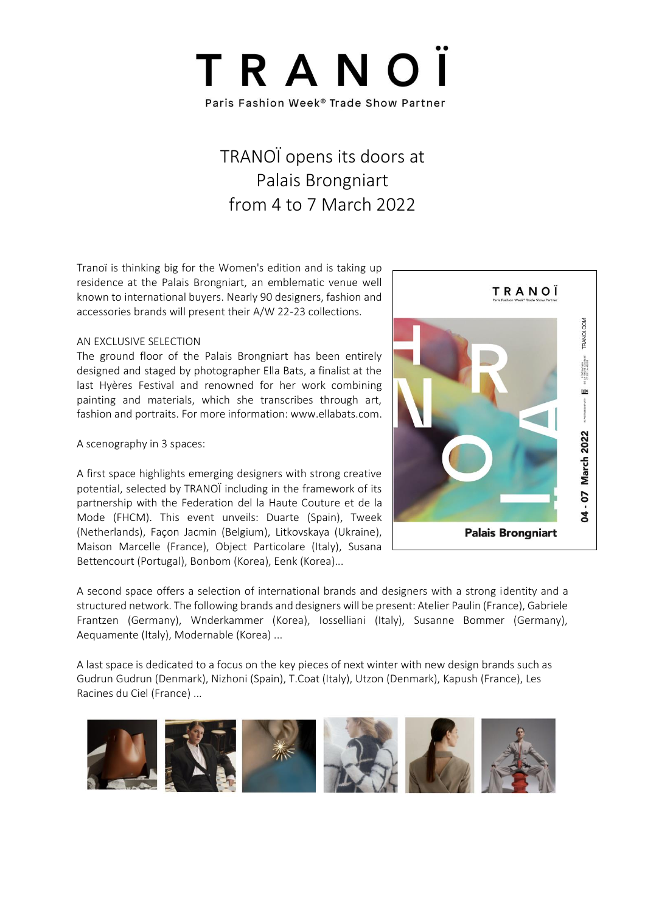

## TRANOÏ opens its doors at Palais Brongniart from 4 to 7 March 2022

Tranoï is thinking big for the Women's edition and is taking up residence at the Palais Brongniart, an emblematic venue well known to international buyers. Nearly 90 designers, fashion and accessories brands will present their A/W 22-23 collections.

#### AN EXCLUSIVE SELECTION

The ground floor of the Palais Brongniart has been entirely designed and staged by photographer Ella Bats, a finalist at the last Hyères Festival and renowned for her work combining painting and materials, which she transcribes through art, fashion and portraits. For more information: www.ellabats.com.

A scenography in 3 spaces:

A first space highlights emerging designers with strong creative potential, selected by TRANOÏ including in the framework of its partnership with the Federation del la Haute Couture et de la Mode (FHCM). This event unveils: Duarte (Spain), Tweek (Netherlands), Façon Jacmin (Belgium), Litkovskaya (Ukraine), Maison Marcelle (France), Object Particolare (Italy), Susana Bettencourt (Portugal), Bonbom (Korea), Eenk (Korea)...



A second space offers a selection of international brands and designers with a strong identity and a structured network. The following brands and designers will be present: Atelier Paulin (France), Gabriele Frantzen (Germany), Wnderkammer (Korea), Iosselliani (Italy), Susanne Bommer (Germany), Aequamente (Italy), Modernable (Korea) ...

A last space is dedicated to a focus on the key pieces of next winter with new design brands such as Gudrun Gudrun (Denmark), Nizhoni (Spain), T.Coat (Italy), Utzon (Denmark), Kapush (France), Les Racines du Ciel (France) ...